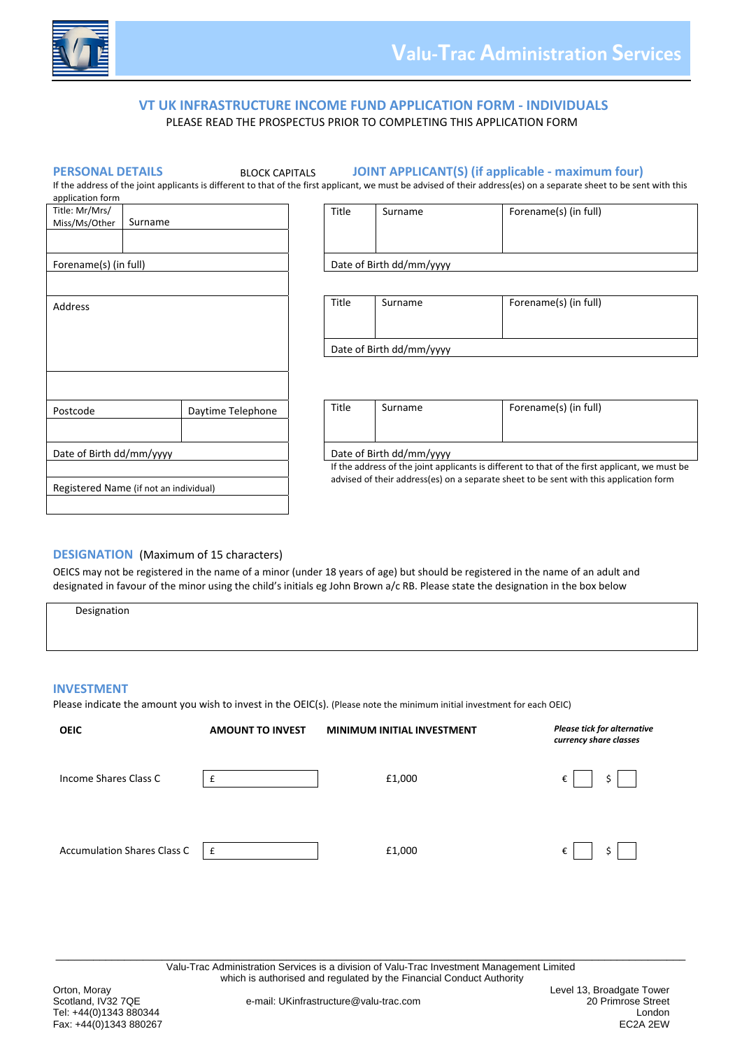

# **VT UK INFRASTRUCTURE INCOME FUND APPLICATION FORM ‐ INDIVIDUALS**  PLEASE READ THE PROSPECTUS PRIOR TO COMPLETING THIS APPLICATION FORM

**PERSONAL DETAILS** BLOCK CAPITALS **JOINT APPLICANT(S) (if applicable ‐ maximum four)**

If the address of the joint applicants is different to that of the first applicant, we must be advised of their address(es) on a separate sheet to be sent with this application form

| Title: Mr/Mrs/<br>Miss/Ms/Other        | Surname |                   | Title                                                                                                                                                                                    |                          | Surname                  | Forename(s) (in full) |  |
|----------------------------------------|---------|-------------------|------------------------------------------------------------------------------------------------------------------------------------------------------------------------------------------|--------------------------|--------------------------|-----------------------|--|
| Forename(s) (in full)                  |         |                   |                                                                                                                                                                                          | Date of Birth dd/mm/yyyy |                          |                       |  |
| Address                                |         |                   | Title                                                                                                                                                                                    |                          | Surname                  | Forename(s) (in full) |  |
|                                        |         |                   | Date of Birth dd/mm/yyyy                                                                                                                                                                 |                          |                          |                       |  |
|                                        |         |                   |                                                                                                                                                                                          |                          |                          |                       |  |
| Postcode                               |         | Daytime Telephone | Title                                                                                                                                                                                    |                          | Surname                  | Forename(s) (in full) |  |
| Date of Birth dd/mm/yyyy               |         |                   |                                                                                                                                                                                          |                          | Date of Birth dd/mm/yyyy |                       |  |
|                                        |         |                   | If the address of the joint applicants is different to that of the first applicant, we must be<br>advised of their address(es) on a separate sheet to be sent with this application form |                          |                          |                       |  |
| Registered Name (if not an individual) |         |                   |                                                                                                                                                                                          |                          |                          |                       |  |

# **DESIGNATION** (Maximum of 15 characters)

OEICS may not be registered in the name of a minor (under 18 years of age) but should be registered in the name of an adult and designated in favour of the minor using the child's initials eg John Brown a/c RB. Please state the designation in the box below

| Designation |  |  |  |
|-------------|--|--|--|
|             |  |  |  |
|             |  |  |  |
|             |  |  |  |

## **INVESTMENT**

Please indicate the amount you wish to invest in the OEIC(s). (Please note the minimum initial investment for each OEIC)

| <b>OEIC</b>                        | <b>AMOUNT TO INVEST</b> | <b>MINIMUM INITIAL INVESTMENT</b> | <b>Please tick for alternative</b><br>currency share classes |
|------------------------------------|-------------------------|-----------------------------------|--------------------------------------------------------------|
| Income Shares Class C              | £                       | £1,000                            | \$<br>€                                                      |
| <b>Accumulation Shares Class C</b> | £                       | £1,000                            | \$<br>€                                                      |

\_\_\_\_\_\_\_\_\_\_\_\_\_\_\_\_\_\_\_\_\_\_\_\_\_\_\_\_\_\_\_\_\_\_\_\_\_\_\_\_\_\_\_\_\_\_\_\_\_\_\_\_\_\_\_\_\_\_\_\_\_\_\_\_\_\_\_\_\_\_\_\_\_\_\_\_\_\_\_\_\_\_\_\_\_\_\_\_\_\_\_\_\_\_\_\_\_\_\_\_\_ Valu-Trac Administration Services is a division of Valu-Trac Investment Management Limited which is authorised and regulated by the Financial Conduct Authority